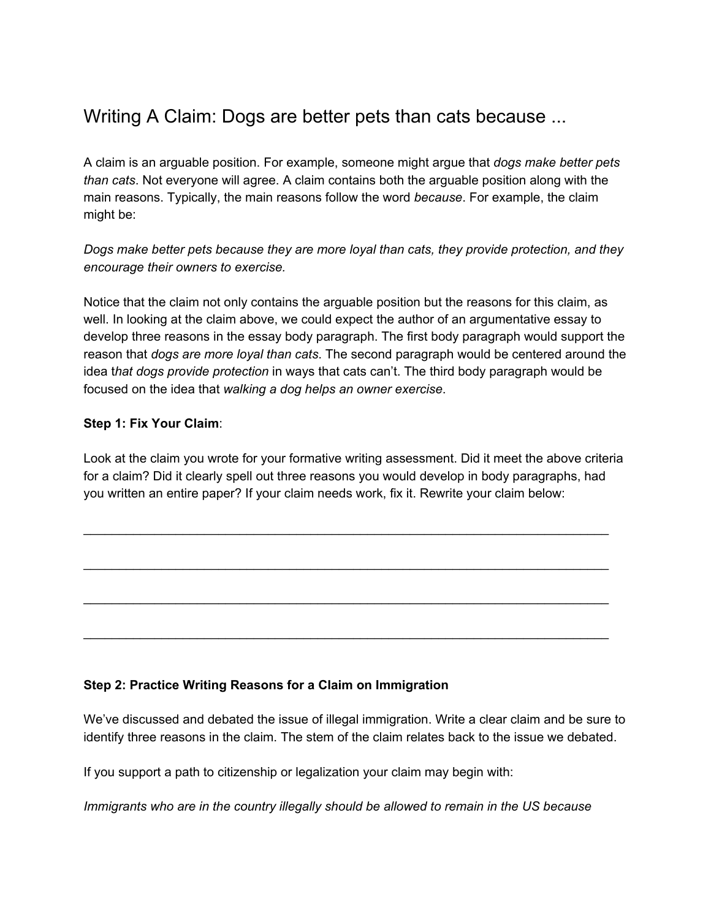## Writing A Claim: Dogs are better pets than cats because ...

A claim is an arguable position. For example, someone might argue that *dogs make better pets than cats*. Not everyone will agree. A claim contains both the arguable position along with the main reasons. Typically, the main reasons follow the word *because*. For example, the claim might be:

*Dogs make better pets because they are more loyal than cats, they provide protection, and they encourage their owners to exercise.*

Notice that the claim not only contains the arguable position but the reasons for this claim, as well. In looking at the claim above, we could expect the author of an argumentative essay to develop three reasons in the essay body paragraph. The first body paragraph would support the reason that *dogs are more loyal than cats*. The second paragraph would be centered around the idea t*hat dogs provide protection* in ways that cats can't. The third body paragraph would be focused on the idea that *walking a dog helps an owner exercise*.

## **Step 1: Fix Your Claim**:

Look at the claim you wrote for your formative writing assessment. Did it meet the above criteria for a claim? Did it clearly spell out three reasons you would develop in body paragraphs, had you written an entire paper? If your claim needs work, fix it. Rewrite your claim below:

\_\_\_\_\_\_\_\_\_\_\_\_\_\_\_\_\_\_\_\_\_\_\_\_\_\_\_\_\_\_\_\_\_\_\_\_\_\_\_\_\_\_\_\_\_\_\_\_\_\_\_\_\_\_\_\_\_\_\_\_\_\_\_\_\_\_\_\_\_\_\_\_\_\_

\_\_\_\_\_\_\_\_\_\_\_\_\_\_\_\_\_\_\_\_\_\_\_\_\_\_\_\_\_\_\_\_\_\_\_\_\_\_\_\_\_\_\_\_\_\_\_\_\_\_\_\_\_\_\_\_\_\_\_\_\_\_\_\_\_\_\_\_\_\_\_\_\_\_

\_\_\_\_\_\_\_\_\_\_\_\_\_\_\_\_\_\_\_\_\_\_\_\_\_\_\_\_\_\_\_\_\_\_\_\_\_\_\_\_\_\_\_\_\_\_\_\_\_\_\_\_\_\_\_\_\_\_\_\_\_\_\_\_\_\_\_\_\_\_\_\_\_\_

\_\_\_\_\_\_\_\_\_\_\_\_\_\_\_\_\_\_\_\_\_\_\_\_\_\_\_\_\_\_\_\_\_\_\_\_\_\_\_\_\_\_\_\_\_\_\_\_\_\_\_\_\_\_\_\_\_\_\_\_\_\_\_\_\_\_\_\_\_\_\_\_\_\_

## **Step 2: Practice Writing Reasons for a Claim on Immigration**

We've discussed and debated the issue of illegal immigration. Write a clear claim and be sure to identify three reasons in the claim. The stem of the claim relates back to the issue we debated.

If you support a path to citizenship or legalization your claim may begin with:

*Immigrants who are in the country illegally should be allowed to remain in the US because*